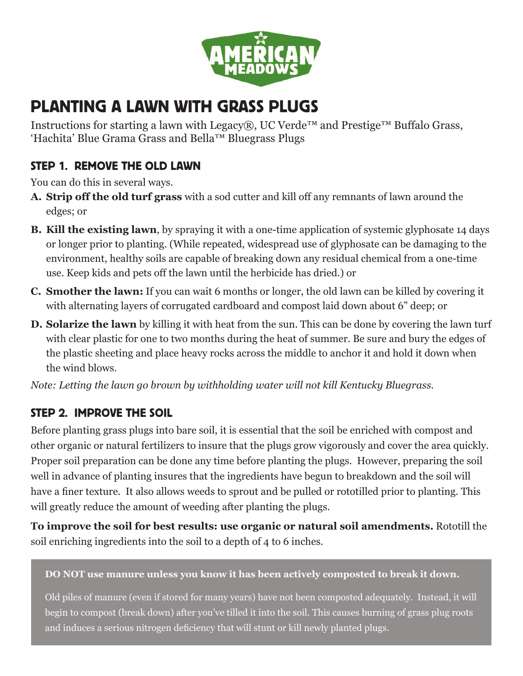

# PLANTING A LAWN WITH GRASS PLUGS

Instructions for starting a lawn with Legacy®, UC Verde<sup>™</sup> and Prestige<sup>™</sup> Buffalo Grass, 'Hachita' Blue Grama Grass and Bella™ Bluegrass Plugs

#### STEP 1. REMOVE THE OLD LAWN

You can do this in several ways.

- **A. Strip off the old turf grass** with a sod cutter and kill off any remnants of lawn around the edges; or
- **B. Kill the existing lawn**, by spraying it with a one-time application of systemic glyphosate 14 days or longer prior to planting. (While repeated, widespread use of glyphosate can be damaging to the environment, healthy soils are capable of breaking down any residual chemical from a one-time use. Keep kids and pets off the lawn until the herbicide has dried.) or
- **C. Smother the lawn:** If you can wait 6 months or longer, the old lawn can be killed by covering it with alternating layers of corrugated cardboard and compost laid down about 6" deep; or
- **D. Solarize the lawn** by killing it with heat from the sun. This can be done by covering the lawn turf with clear plastic for one to two months during the heat of summer. Be sure and bury the edges of the plastic sheeting and place heavy rocks across the middle to anchor it and hold it down when the wind blows.

*Note: Letting the lawn go brown by withholding water will not kill Kentucky Bluegrass.* 

## STEP 2. IMPROVE THE SOIL

Before planting grass plugs into bare soil, it is essential that the soil be enriched with compost and other organic or natural fertilizers to insure that the plugs grow vigorously and cover the area quickly. Proper soil preparation can be done any time before planting the plugs. However, preparing the soil well in advance of planting insures that the ingredients have begun to breakdown and the soil will have a finer texture. It also allows weeds to sprout and be pulled or rototilled prior to planting. This will greatly reduce the amount of weeding after planting the plugs.

**To improve the soil for best results: use organic or natural soil amendments.** Rototill the soil enriching ingredients into the soil to a depth of 4 to 6 inches.

#### **DO NOT use manure unless you know it has been actively composted to break it down.**

Old piles of manure (even if stored for many years) have not been composted adequately. Instead, it will begin to compost (break down) after you've tilled it into the soil. This causes burning of grass plug roots and induces a serious nitrogen deficiency that will stunt or kill newly planted plugs.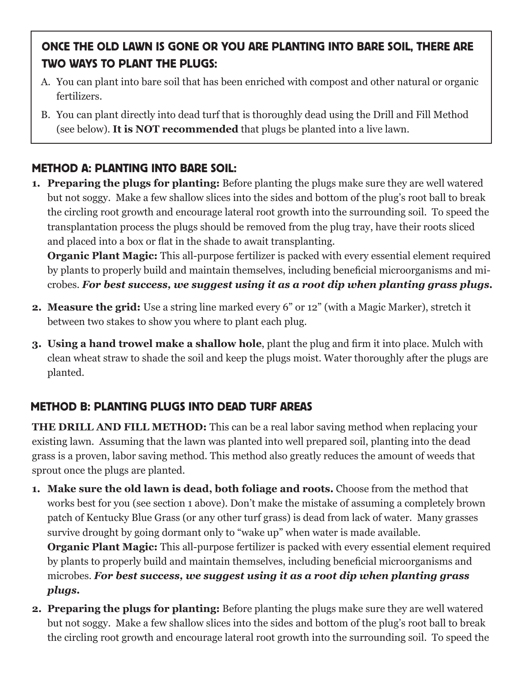# ONCE THE OLD LAWN IS GONE OR YOU ARE PLANTING INTO BARE SOIL, THERE ARE TWO WAYS TO PLANT THE PLUGS:

- A. You can plant into bare soil that has been enriched with compost and other natural or organic fertilizers.
- B. You can plant directly into dead turf that is thoroughly dead using the Drill and Fill Method (see below). **It is NOT recommended** that plugs be planted into a live lawn.

## METHOD A: PLANTING INTO BARE SOIL:

**1. Preparing the plugs for planting:** Before planting the plugs make sure they are well watered but not soggy. Make a few shallow slices into the sides and bottom of the plug's root ball to break the circling root growth and encourage lateral root growth into the surrounding soil. To speed the transplantation process the plugs should be removed from the plug tray, have their roots sliced and placed into a box or flat in the shade to await transplanting.

**Organic Plant Magic:** This all-purpose fertilizer is packed with every essential element required by plants to properly build and maintain themselves, including beneficial microorganisms and microbes. *For best success, we suggest using it as a root dip when planting grass plugs.* 

- **2. Measure the grid:** Use a string line marked every 6" or 12" (with a Magic Marker), stretch it between two stakes to show you where to plant each plug.
- **3. Using a hand trowel make a shallow hole**, plant the plug and firm it into place. Mulch with clean wheat straw to shade the soil and keep the plugs moist. Water thoroughly after the plugs are planted.

#### METHOD B: PLANTING PLUGS INTO DEAD TURF AREAS

**THE DRILL AND FILL METHOD:** This can be a real labor saving method when replacing your existing lawn. Assuming that the lawn was planted into well prepared soil, planting into the dead grass is a proven, labor saving method. This method also greatly reduces the amount of weeds that sprout once the plugs are planted.

- **1. Make sure the old lawn is dead, both foliage and roots.** Choose from the method that works best for you (see section 1 above). Don't make the mistake of assuming a completely brown patch of Kentucky Blue Grass (or any other turf grass) is dead from lack of water. Many grasses survive drought by going dormant only to "wake up" when water is made available. **Organic Plant Magic:** This all-purpose fertilizer is packed with every essential element required by plants to properly build and maintain themselves, including beneficial microorganisms and microbes. *For best success, we suggest using it as a root dip when planting grass plugs.*
- **2. Preparing the plugs for planting:** Before planting the plugs make sure they are well watered but not soggy. Make a few shallow slices into the sides and bottom of the plug's root ball to break the circling root growth and encourage lateral root growth into the surrounding soil. To speed the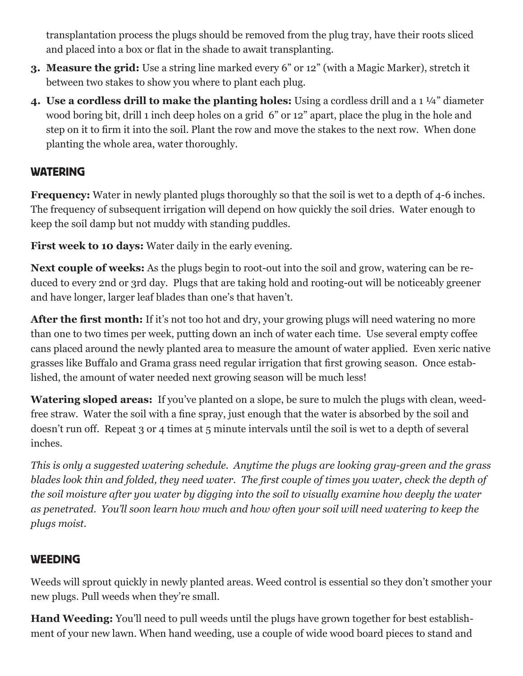transplantation process the plugs should be removed from the plug tray, have their roots sliced and placed into a box or flat in the shade to await transplanting.

- **3. Measure the grid:** Use a string line marked every 6" or 12" (with a Magic Marker), stretch it between two stakes to show you where to plant each plug.
- **4. Use a cordless drill to make the planting holes:** Using a cordless drill and a 1 ¼" diameter wood boring bit, drill 1 inch deep holes on a grid 6" or 12" apart, place the plug in the hole and step on it to firm it into the soil. Plant the row and move the stakes to the next row. When done planting the whole area, water thoroughly.

#### WATERING

**Frequency:** Water in newly planted plugs thoroughly so that the soil is wet to a depth of 4-6 inches. The frequency of subsequent irrigation will depend on how quickly the soil dries. Water enough to keep the soil damp but not muddy with standing puddles.

**First week to 10 days:** Water daily in the early evening.

**Next couple of weeks:** As the plugs begin to root-out into the soil and grow, watering can be reduced to every 2nd or 3rd day. Plugs that are taking hold and rooting-out will be noticeably greener and have longer, larger leaf blades than one's that haven't.

After the first month: If it's not too hot and dry, your growing plugs will need watering no more than one to two times per week, putting down an inch of water each time. Use several empty coffee cans placed around the newly planted area to measure the amount of water applied. Even xeric native grasses like Buffalo and Grama grass need regular irrigation that first growing season. Once established, the amount of water needed next growing season will be much less!

**Watering sloped areas:** If you've planted on a slope, be sure to mulch the plugs with clean, weedfree straw. Water the soil with a fine spray, just enough that the water is absorbed by the soil and doesn't run off. Repeat 3 or 4 times at 5 minute intervals until the soil is wet to a depth of several inches.

*This is only a suggested watering schedule. Anytime the plugs are looking gray-green and the grass blades look thin and folded, they need water. The first couple of times you water, check the depth of the soil moisture after you water by digging into the soil to visually examine how deeply the water as penetrated. You'll soon learn how much and how often your soil will need watering to keep the plugs moist.* 

## **WEEDING**

Weeds will sprout quickly in newly planted areas. Weed control is essential so they don't smother your new plugs. Pull weeds when they're small.

**Hand Weeding:** You'll need to pull weeds until the plugs have grown together for best establishment of your new lawn. When hand weeding, use a couple of wide wood board pieces to stand and